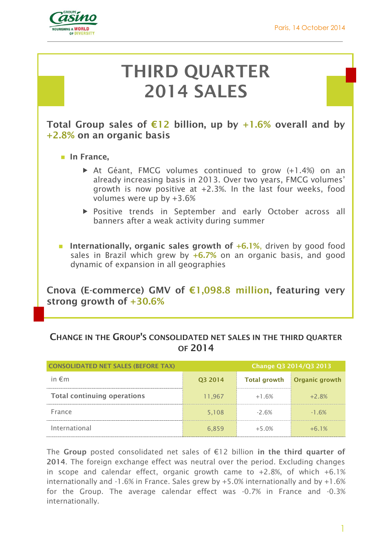

# **THIRD QUARTER 2014 SALES**

**Total Group sales of €12 billion, up by +1.6% overall and by +2.8% on an organic basis**

- **In France.** 
	- At Géant, FMCG volumes continued to grow (+1.4%) on an already increasing basis in 2013. Over two years, FMCG volumes' growth is now positive at +2.3%. In the last four weeks, food volumes were up by +3.6%
	- Positive trends in September and early October across all banners after a weak activity during summer
- **Internationally, organic sales growth of +6.1%**, driven by good food sales in Brazil which grew by **+6.7%** on an organic basis, and good dynamic of expansion in all geographies

**Cnova (E-commerce) GMV of €1,098.8 million, featuring very strong growth of +30.6%** 

## **CHANGE IN THE GROUP'S CONSOLIDATED NET SALES IN THE THIRD QUARTER OF 2014**

| <b>CONSOLIDATED NET SALES (BEFORE TAX)</b> | Change Q3 2014/Q3 2013 |                     |                       |
|--------------------------------------------|------------------------|---------------------|-----------------------|
| in $\epsilon$ m                            | Q3 2014                | <b>Total growth</b> | <b>Organic growth</b> |
| <b>Total continuing operations</b>         | 11,967                 | $+1.6%$             | $+2.8%$               |
| France                                     | 5.108                  | $-2.6%$             | $-1.6%$               |
| International                              | 6,859                  | $+5.0%$             | $+6.1%$               |

The **Group** posted consolidated net sales of €12 billion **in the third quarter of 2014**. The foreign exchange effect was neutral over the period. Excluding changes in scope and calendar effect, organic growth came to  $+2.8$ %, of which  $+6.1$ % internationally and -1.6% in France. Sales grew by +5.0% internationally and by +1.6% for the Group. The average calendar effect was -0.7% in France and -0.3% internationally.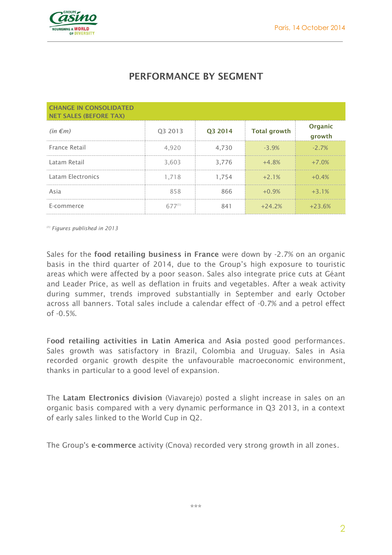

# **PERFORMANCE BY SEGMENT**

| <b>CHANGE IN CONSOLIDATED</b><br><b>NET SALES (BEFORE TAX)</b> |             |         |                     |                   |
|----------------------------------------------------------------|-------------|---------|---------------------|-------------------|
| $(in \in m)$                                                   | Q3 2013     | Q3 2014 | <b>Total growth</b> | Organic<br>growth |
| France Retail                                                  | 4,920       | 4,730   | $-3.9%$             | $-2.7%$           |
| Latam Retail                                                   | 3,603       | 3,776   | $+4.8%$             | $+7.0%$           |
| Latam Electronics                                              | 1.718       | 1,754   | $+2.1%$             | $+0.4%$           |
| Asia                                                           | 858         | 866     | $+0.9%$             | $+3.1%$           |
| E-commerce                                                     | $677^{(1)}$ | 841     | $+24.2%$            | $+23.6%$          |

*(1) Figures published in 2013*

Sales for the **food retailing business in France** were down by -2.7% on an organic basis in the third quarter of 2014, due to the Group's high exposure to touristic areas which were affected by a poor season. Sales also integrate price cuts at Géant and Leader Price, as well as deflation in fruits and vegetables. After a weak activity during summer, trends improved substantially in September and early October across all banners. Total sales include a calendar effect of -0.7% and a petrol effect of -0.5%.

F**ood retailing activities in Latin America** and **Asia** posted good performances. Sales growth was satisfactory in Brazil, Colombia and Uruguay. Sales in Asia recorded organic growth despite the unfavourable macroeconomic environment, thanks in particular to a good level of expansion.

The **Latam Electronics division** (Viavarejo) posted a slight increase in sales on an organic basis compared with a very dynamic performance in Q3 2013, in a context of early sales linked to the World Cup in Q2.

The Group's **e-commerce** activity (Cnova) recorded very strong growth in all zones.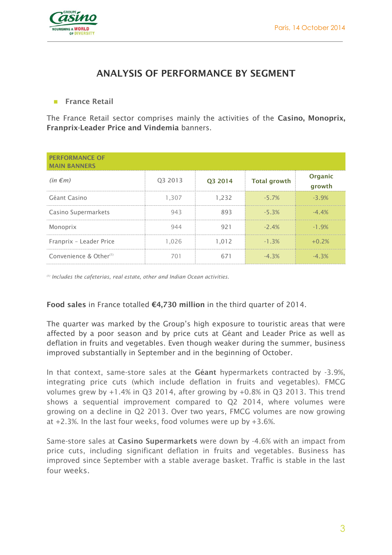

## **ANALYSIS OF PERFORMANCE BY SEGMENT**

### **France Retail**

The France Retail sector comprises mainly the activities of the **Casino, Monoprix, Franprix-Leader Price and Vindemia** banners.

| <b>PERFORMANCE OF</b><br><b>MAIN BANNERS</b> |         |         |                     |                   |
|----------------------------------------------|---------|---------|---------------------|-------------------|
| $(in \in m)$                                 | Q3 2013 | Q3 2014 | <b>Total growth</b> | Organic<br>growth |
| Géant Casino                                 | 1,307   | 1,232   | $-5.7%$             | $-3.9%$           |
| Casino Supermarkets                          | 943     | 893     | $-5.3%$             | $-4.4\%$          |
| Monoprix                                     | 944     | 921     | $-2.4%$             | $-1.9%$           |
| Franprix - Leader Price                      | 1,026   | 1,012   | $-1.3%$             | $+0.2%$           |
| Convenience & Other <sup>(1)</sup>           | 701     | 671     | $-4.3%$             | $-4.3%$           |

*(1) Includes the cafeterias, real estate, other and Indian Ocean activities.*

#### **Food sales** in France totalled **€4,730 million** in the third quarter of 2014.

The quarter was marked by the Group's high exposure to touristic areas that were affected by a poor season and by price cuts at Géant and Leader Price as well as deflation in fruits and vegetables. Even though weaker during the summer, business improved substantially in September and in the beginning of October.

In that context, same-store sales at the **Géant** hypermarkets contracted by -3.9%, integrating price cuts (which include deflation in fruits and vegetables). FMCG volumes grew by +1.4% in Q3 2014, after growing by +0.8% in Q3 2013. This trend shows a sequential improvement compared to Q2 2014, where volumes were growing on a decline in Q2 2013. Over two years, FMCG volumes are now growing at +2.3%. In the last four weeks, food volumes were up by +3.6%.

Same-store sales at **Casino Supermarkets** were down by -4.6% with an impact from price cuts, including significant deflation in fruits and vegetables. Business has improved since September with a stable average basket. Traffic is stable in the last four weeks.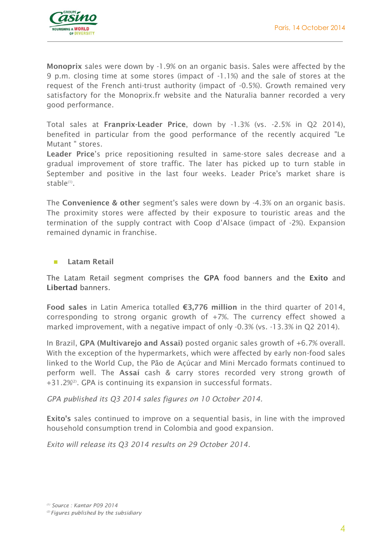

**Monoprix** sales were down by -1.9% on an organic basis. Sales were affected by the 9 p.m. closing time at some stores (impact of -1.1%) and the sale of stores at the request of the French anti-trust authority (impact of -0.5%). Growth remained very satisfactory for the Monoprix.fr website and the Naturalia banner recorded a very good performance.

Total sales at **Franprix-Leader Price**, down by -1.3% (vs. -2.5% in Q2 2014), benefited in particular from the good performance of the recently acquired "Le Mutant " stores.

**Leader Price**'s price repositioning resulted in same-store sales decrease and a gradual improvement of store traffic. The later has picked up to turn stable in September and positive in the last four weeks. Leader Price's market share is stable<sup>(1)</sup>.

The **Convenience & other** segment's sales were down by -4.3% on an organic basis. The proximity stores were affected by their exposure to touristic areas and the termination of the supply contract with Coop d'Alsace (impact of -2%). Expansion remained dynamic in franchise.

## **Latam Retail**

The Latam Retail segment comprises the **GPA** food banners and the **Exito** and **Libertad** banners.

**Food sales** in Latin America totalled **€3,776 million** in the third quarter of 2014, corresponding to strong organic growth of +7%. The currency effect showed a marked improvement, with a negative impact of only -0.3% (vs. -13.3% in Q2 2014).

In Brazil, **GPA (Multivarejo and Assai)** posted organic sales growth of +6.7% overall. With the exception of the hypermarkets, which were affected by early non-food sales linked to the World Cup, the Pão de Açúcar and Mini Mercado formats continued to perform well. The **Assaí** cash & carry stores recorded very strong growth of +31.2%<sup>2</sup>. GPA is continuing its expansion in successful formats.

*GPA published its Q3 2014 sales figures on 10 October 2014.*

**Exito's** sales continued to improve on a sequential basis, in line with the improved household consumption trend in Colombia and good expansion.

*Exito will release its Q3 2014 results on 29 October 2014.*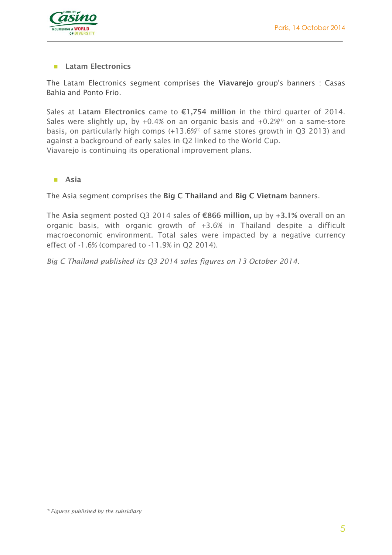

## **Latam Electronics**

The Latam Electronics segment comprises the **Viavarejo** group's banners : Casas Bahia and Ponto Frio.

Sales at **Latam Electronics** came to **€1,754 million** in the third quarter of 2014. Sales were slightly up, by  $+0.4\%$  on an organic basis and  $+0.2\%$ <sup>(1)</sup> on a same-store basis, on particularly high comps  $(+13.6\%)$  of same stores growth in Q3 2013) and against a background of early sales in Q2 linked to the World Cup. Viavarejo is continuing its operational improvement plans.

**Asia**

The Asia segment comprises the **Big C Thailand** and **Big C Vietnam** banners.

The **Asia** segment posted Q3 2014 sales of **€866 million,** up by **+3.1%** overall on an organic basis, with organic growth of +3.6% in Thailand despite a difficult macroeconomic environment. Total sales were impacted by a negative currency effect of -1.6% (compared to -11.9% in Q2 2014).

*Big C Thailand published its Q3 2014 sales figures on 13 October 2014.*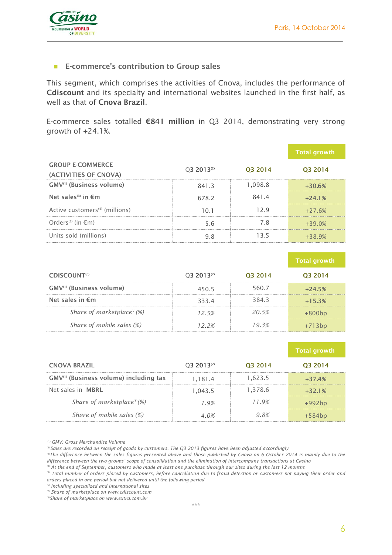

#### **E-commerce's contribution to Group sales**

This segment, which comprises the activities of Cnova, includes the performance of **Cdiscount** and its specialty and international websites launched in the first half, as well as that of **Cnova Brazil**.

E-commerce sales totalled **€841 million** in Q3 2014, demonstrating very strong growth of +24.1%.

|                                                  |                        |         | <b>Total growth</b> |
|--------------------------------------------------|------------------------|---------|---------------------|
| <b>GROUP E-COMMERCE</b><br>(ACTIVITIES OF CNOVA) | 03 2013 <sup>(2)</sup> | O3 2014 | O <sub>3</sub> 2014 |
| GMV <sup>(1)</sup> (Business volume)             | 841.3                  | 1,098.8 | $+30.6%$            |
| Net sales <sup>(3)</sup> in $\epsilon$ m         | 678.2                  | 841.4   | $+24.1%$            |
| Active customers <sup>(4)</sup> (millions)       | 10.1                   | 129     | $+27.6%$            |
| Orders <sup>(5)</sup> (in $\epsilon$ m)          | 5.6                    | 7.8     | $+39.0%$            |
| Units sold (millions)                            | 9.8                    | 13.5    | $+389%$             |

|                                         |                |                     | ' Total growth |
|-----------------------------------------|----------------|---------------------|----------------|
| CDISCOUNT <sup>(6)</sup>                | $Q32013^{(2)}$ | O <sub>3</sub> 2014 | 03 2014        |
| GMV <sup>(1)</sup> (Business volume)    | 4505           | 560.7               | $+24.5%$       |
| Net sales in $\epsilon$ m               | 3334           | 384.3               | $+15.3%$       |
| Share of marketplace <sup>(7)</sup> (%) | 12.5%          | 20.5%               | $+800bp$       |
| Share of mobile sales (%)               | <b>1つ つ</b> 必  | $9.3\%$             |                |

|                                                    |                |         | <b>Total growth</b> |
|----------------------------------------------------|----------------|---------|---------------------|
| <b>CNOVA BRAZIL</b>                                | $032013^{(2)}$ | 03 2014 | 03 2014             |
| GMV <sup>(1)</sup> (Business volume) including tax | 1.181.4        | 1.623.5 | $+37.4%$            |
| Net sales in <b>MBRL</b>                           | 1.043.5        | 1.378.6 | $+32.1%$            |
| Share of marketplace <sup>(8)</sup> $(\%)$         | 19%            | 119%    | $+992bp$            |
| Share of mobile sales (%)                          | $4.0\%$        | 9.8%    | $+584bp$            |

*(1) GMV: Gross Merchandise Volume*

*<sup>(2)</sup> Sales are recorded on receipt of goods by customers. The Q3 2013 figures have been adjusted accordingly*

<sup>&</sup>lt;sup>(3)</sup>The difference between the sales figures presented above and those published by Cnova on 6 October 2014 is mainly due to the *difference between the two groups' scope of consolidation and the elimination of intercompany transactions at Casino*

*<sup>(4)</sup> At the end of September, customers who made at least one purchase through our sites during the last 12 months*

*<sup>(5)</sup> Total number of orders placed by customers, before cancellation due to fraud detection or customers not paying their order and orders placed in one period but not delivered until the following period*

*<sup>(6)</sup> including specialized and international sites*

*<sup>(7)</sup> Share of marketplace on [www.cdiscount.com](http://www.cdiscount.com/) (3)Share of marketplace on [www.extra.com.br](http://www.extra.com.br/)*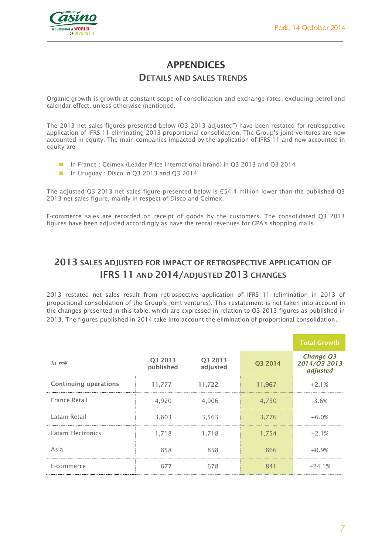

# **APPENDICES**

## **DETAILS AND SALES TRENDS**

Organic growth is growth at constant scope of consolidation and exchange rates, excluding petrol and calendar effect, unless otherwise mentioned.

The 2013 net sales figures presented below (Q3 2013 adjusted") have been restated for retrospective application of IFRS 11 eliminating 2013 proportional consolidation. The Group's joint-ventures are now accounted in equity. The main companies impacted by the application of IFRS 11 and now accounted in equity are :

- In France : Geimex (Leader Price international brand) in O3 2013 and O3 2014
- In Uruguay : Disco in Q3 2013 and Q3 2014

The adjusted Q3 2013 net sales figure presented below is €54.4 million lower than the published Q3 2013 net sales figure, mainly in respect of Disco and Geimex.

E-commerce sales are recorded on receipt of goods by the customers. The consolidated Q3 2013 figures have been adjusted accordingly as have the rental revenues for GPA's shopping malls.

# **2013 SALES ADJUSTED FOR IMPACT OF RETROSPECTIVE APPLICATION OF IFRS 11 AND 2014/ADJUSTED 2013 CHANGES**

2013 restated net sales result from retrospective application of IFRS 11 (elimination in 2013 of proportional consolidation of the Group's joint ventures). This restatement is not taken into account in the changes presented in this table, which are expressed in relation to Q3 2013 figures as published in 2013. The figures published in 2014 take into account the elimination of proportional consolidation.

|                              |                      |                     |         | <b>Total Growth</b>                   |
|------------------------------|----------------------|---------------------|---------|---------------------------------------|
| In $m \in$                   | Q3 2013<br>published | Q3 2013<br>adjusted | Q3 2014 | Change Q3<br>2014/Q3 2013<br>adjusted |
| <b>Continuing operations</b> | 11,777               | 11,722              | 11,967  | $+2.1%$                               |
| France Retail                | 4,920                | 4,906               | 4,730   | $-3.6%$                               |
| Latam Retail                 | 3,603                | 3,563               | 3,776   | $+6.0%$                               |
| Latam Electronics            | 1,718                | 1,718               | 1.754   | $+2.1%$                               |
| Asia                         | 858                  | 858                 | 866     | $+0.9%$                               |
| E-commerce                   | 677                  | 678                 | 841     | $+24.1%$                              |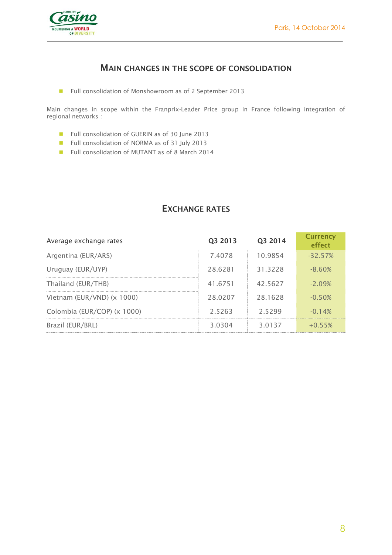

## **MAIN CHANGES IN THE SCOPE OF CONSOLIDATION**

■ Full consolidation of Monshowroom as of 2 September 2013

Main changes in scope within the Franprix-Leader Price group in France following integration of regional networks :

- Full consolidation of GUERIN as of 30 June 2013
- Full consolidation of NORMA as of 31 July 2013
- Full consolidation of MUTANT as of 8 March 2014

## **EXCHANGE RATES**

| Average exchange rates      | Q3 2013 | Q3 2014 | <b>Currency</b><br><b>effect</b> |
|-----------------------------|---------|---------|----------------------------------|
| Argentina (EUR/ARS)         | 7.4078  | 10.9854 | $-32.57%$                        |
| Uruguay (EUR/UYP)           | 28.6281 | 31.3228 | $-8.60%$                         |
| Thailand (EUR/THB)          | 41.6751 | 42.5627 | $-209%$                          |
| Vietnam (EUR/VND) (x 1000)  | 28.0207 | 28.1628 | $-0.50%$                         |
| Colombia (EUR/COP) (x 1000) | 2.5263  | 2.5299  | $-0.14%$                         |
| Brazil (EUR/BRL)            | 3.0304  | 3.0137  | $+0.55%$                         |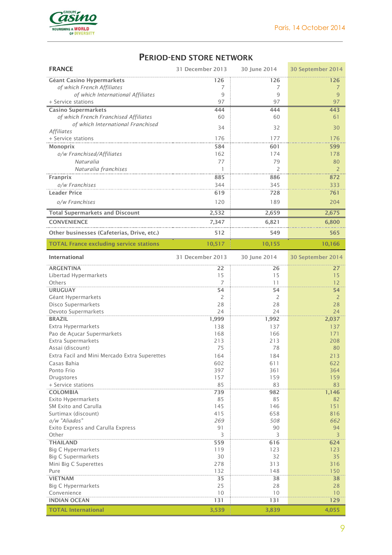**Contract Contract Contract Contract** 



## **PERIOD-END STORE NETWORK**

| <b>FRANCE</b>                                  | 31 December 2013 | 30 June 2014   | 30 September 2014 |
|------------------------------------------------|------------------|----------------|-------------------|
| <b>Géant Casino Hypermarkets</b>               | 126              | 126            | 126               |
| of which French Affiliates                     | 7                | 7              | 7                 |
| of which International Affiliates              | 9                | 9              | 9                 |
| + Service stations                             | 97               | 97             | 97                |
| <b>Casino Supermarkets</b>                     | 444              | 444            | 443               |
| of which French Franchised Affiliates          | 60               | 60             | 61                |
| of which International Franchised              | 34               | 32             | 30                |
| <b>Affiliates</b>                              |                  |                |                   |
| + Service stations                             | 176              | 177            | 176               |
| <b>Monoprix</b>                                | 584              | 601            | 599               |
| o/w Franchised/Affiliates                      | 162              | 174            | 178               |
| Naturalia                                      | 77               | 79             | 80                |
| Naturalia franchises                           | 1                | $\overline{2}$ | 2                 |
| Franprix                                       | 885              | 886            | 872               |
| o/w Franchises                                 | 344              | 345            | 333               |
| <b>Leader Price</b>                            | 619              | 728            | 761               |
| o/w Franchises                                 | 120              | 189            | 204               |
| <b>Total Supermarkets and Discount</b>         | 2,532            | 2,659          | 2,675             |
| <b>CONVENIENCE</b>                             | 7,347            | 6,821          | 6,800             |
| Other businesses (Cafeterias, Drive, etc.)     | 512              | 549            | 565               |
| <b>TOTAL France excluding service stations</b> | 10,517           | 10,155         | 10,166            |
| <b>International</b>                           | 31 December 2013 | 30 June 2014   | 30 September 2014 |
|                                                |                  |                |                   |
| <b>ARGENTINA</b>                               | 22<br>15         | 26<br>15       | 27<br>15          |
| Libertad Hypermarkets<br>Others                | $\overline{7}$   | 11             | 12                |
| <b>URUGUAY</b>                                 | 54               | 54             | 54                |
| Géant Hypermarkets                             | 2                | 2              | 2                 |
| Disco Supermarkets                             | 28               | 28             | 28                |
| Devoto Supermarkets                            | 24               | 24             | 24                |
| <b>BRAZIL</b>                                  | 1,999            | 1,992          | 2,037             |
| Extra Hypermarkets                             | 138              | 137            | 137               |
| Pao de Açucar Supermarkets                     | 168              | 166            | 171               |
| Extra Supermarkets                             | 213              | 213            | 208               |
| Assai (discount)                               | 75               | 78             | 80                |
| Extra Facil and Mini Mercado Extra Superettes  | 164              | 184            | 213               |
| Casas Bahia                                    | 602              | 611            | 622               |
| Ponto Frio                                     | 397              | 361            | 364               |
| Drugstores                                     | 157              | 159            | 159               |
| + Service stations                             | 85               | 83             | 83                |
| <b>COLOMBIA</b><br><b>Exito Hypermarkets</b>   | 739<br>85        | 982<br>85      | 1,146<br>82       |
| SM Exito and Carulla                           | 145              | 146            | 151               |
| Surtimax (discount)                            | 415              | 658            | 816               |
| o/w "Aliados"                                  | 269              | 508            | 662               |
| Exito Express and Carulla Express              | 91               | 90             | 94                |
| Other                                          | 3                | 3              | 3                 |
| <b>THAILAND</b>                                | 559              | 616            | 624               |
| <b>Big C Hypermarkets</b>                      | 119              | 123            | 123               |
| <b>Big C Supermarkets</b>                      | 30               | 32             | 35                |
| Mini Big C Superettes<br>Pure                  | 278<br>132       | 313<br>148     | 316<br>150        |
| <b>VIETNAM</b>                                 | 35               | 38             | 38                |
| <b>Big C Hypermarkets</b>                      | 25               | 28             | 28                |
| Convenience                                    | 10               | 10             | 10                |
| <b>INDIAN OCEAN</b>                            | 131              | 131            | 129               |
| <b>TOTAL International</b>                     | 3,539            | 3,839          | 4,055             |